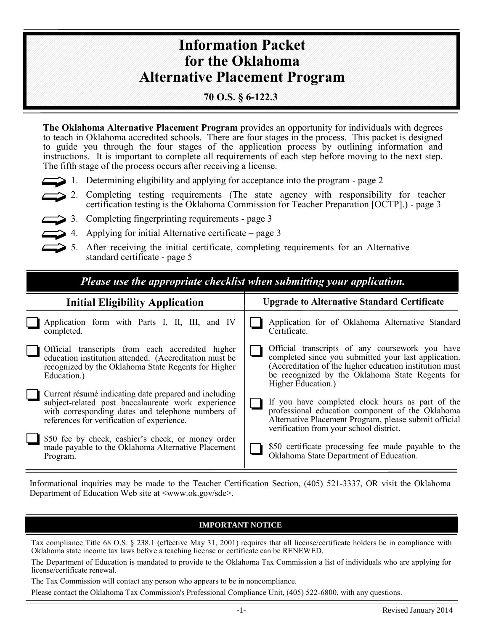# **Information Packet for the Oklahoma Alternative Placement Program**

### **70 O.S. § 6-122.3**

**The Oklahoma Alternative Placement Program** provides an opportunity for individuals with degrees to teach in Oklahoma accredited schools. There are four stages in the process. This packet is designed to guide you through the four stages of the application process by outlining information and instructions. It is important to complete all requirements of each step before moving to the next step. The fifth stage of the process occurs after receiving a license.

- 1. Determining eligibility and applying for acceptance into the program page 2
- 2. Completing testing requirements (The state agency with responsibility for teacher certification testing is the Oklahoma Commission for Teacher Preparation [OCTP].) - page 3
- 3. Completing fingerprinting requirements page 3
- 4. Applying for initial Alternative certificate page 3
- 5. After receiving the initial certificate, completing requirements for an Alternative standard certificate - page 5

| Please use the appropriate checklist when submitting your application.                                                                                                                                         |                                                                                                                                                                                                                                             |  |  |  |  |
|----------------------------------------------------------------------------------------------------------------------------------------------------------------------------------------------------------------|---------------------------------------------------------------------------------------------------------------------------------------------------------------------------------------------------------------------------------------------|--|--|--|--|
| <b>Initial Eligibility Application</b>                                                                                                                                                                         | <b>Upgrade to Alternative Standard Certificate</b>                                                                                                                                                                                          |  |  |  |  |
| Application form with Parts I, II, III, and IV<br>completed.                                                                                                                                                   | Application for of Oklahoma Alternative Standard<br>Certificate.                                                                                                                                                                            |  |  |  |  |
| Official transcripts from each accredited higher<br>education institution attended. (Accreditation must be<br>recognized by the Oklahoma State Regents for Higher<br>Education.)                               | Official transcripts of any coursework you have<br>completed since you submitted your last application.<br>(Accreditation of the higher education institution must<br>be recognized by the Oklahoma State Regents for<br>Higher Education.) |  |  |  |  |
| Current résumé indicating date prepared and including<br>subject-related post baccalaureate work experience<br>with corresponding dates and telephone numbers of<br>references for verification of experience. | If you have completed clock hours as part of the<br>professional education component of the Oklahoma<br>Alternative Placement Program, please submit official<br>verification from your school district.                                    |  |  |  |  |
| \$50 fee by check, cashier's check, or money order<br>made payable to the Oklahoma Alternative Placement<br>Program.                                                                                           | \$50 certificate processing fee made payable to the<br>Oklahoma State Department of Education.                                                                                                                                              |  |  |  |  |

Informational inquiries may be made to the Teacher Certification Section, (405) 521-3337, OR visit the Oklahoma Department of Education Web site at  $\langle$ www.ok.gov/sde>.

### **IMPORTANT NOTICE**

Tax compliance Title 68 O.S. § 238.1 (effective May 31, 2001) requires that all license/certificate holders be in compliance with Oklahoma state income tax laws before a teaching license or certificate can be RENEWED.

The Department of Education is mandated to provide to the Oklahoma Tax Commission a list of individuals who are applying for license/certificate renewal.

The Tax Commission will contact any person who appears to be in noncompliance.

Please contact the Oklahoma Tax Commission's Professional Compliance Unit, (405) 522-6800, with any questions.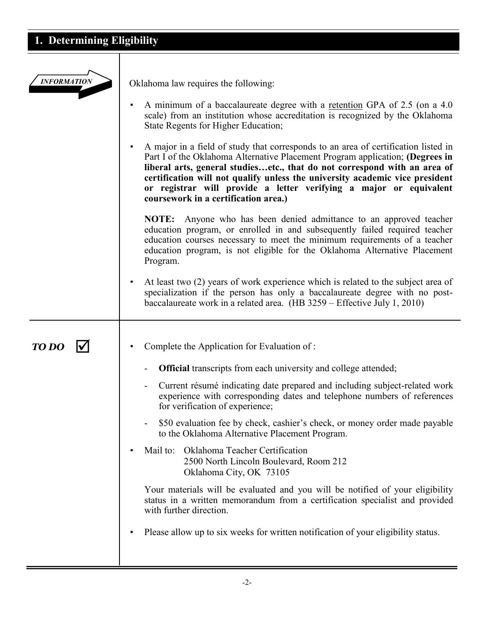# **1. Determining Eligibility**

| <b>INFORMATION</b> | Oklahoma law requires the following:                                                                                                                                                                                                                                                                                                                                                                                                                        |  |  |
|--------------------|-------------------------------------------------------------------------------------------------------------------------------------------------------------------------------------------------------------------------------------------------------------------------------------------------------------------------------------------------------------------------------------------------------------------------------------------------------------|--|--|
|                    | A minimum of a baccalaureate degree with a <u>retention</u> GPA of 2.5 (on a 4.0)<br>$\bullet$<br>scale) from an institution whose accreditation is recognized by the Oklahoma<br>State Regents for Higher Education;                                                                                                                                                                                                                                       |  |  |
|                    | A major in a field of study that corresponds to an area of certification listed in<br>$\bullet$<br>Part I of the Oklahoma Alternative Placement Program application; (Degrees in<br>liberal arts, general studiesetc., that do not correspond with an area of<br>certification will not qualify unless the university academic vice president<br>or registrar will provide a letter verifying a major or equivalent<br>coursework in a certification area.) |  |  |
|                    | Anyone who has been denied admittance to an approved teacher<br><b>NOTE:</b><br>education program, or enrolled in and subsequently failed required teacher<br>education courses necessary to meet the minimum requirements of a teacher<br>education program, is not eligible for the Oklahoma Alternative Placement<br>Program.                                                                                                                            |  |  |
|                    | At least two (2) years of work experience which is related to the subject area of<br>$\bullet$<br>specialization if the person has only a baccalaureate degree with no post-<br>baccalaureate work in a related area. $(HB 3259 - Effective July 1, 2010)$                                                                                                                                                                                                  |  |  |
|                    |                                                                                                                                                                                                                                                                                                                                                                                                                                                             |  |  |
| <b>TO DO</b>       | Complete the Application for Evaluation of:<br>$\bullet$                                                                                                                                                                                                                                                                                                                                                                                                    |  |  |
|                    | <b>Official</b> transcripts from each university and college attended;                                                                                                                                                                                                                                                                                                                                                                                      |  |  |
|                    | Current résumé indicating date prepared and including subject-related work<br>۰<br>experience with corresponding dates and telephone numbers of references<br>for verification of experience;                                                                                                                                                                                                                                                               |  |  |
|                    | \$50 evaluation fee by check, cashier's check, or money order made payable<br>to the Oklahoma Alternative Placement Program.                                                                                                                                                                                                                                                                                                                                |  |  |
|                    | Oklahoma Teacher Certification<br>Mail to:<br>$\bullet$<br>2500 North Lincoln Boulevard, Room 212<br>Oklahoma City, OK 73105                                                                                                                                                                                                                                                                                                                                |  |  |
|                    | Your materials will be evaluated and you will be notified of your eligibility<br>status in a written memorandum from a certification specialist and provided<br>with further direction.                                                                                                                                                                                                                                                                     |  |  |
|                    | Please allow up to six weeks for written notification of your eligibility status.<br>$\bullet$                                                                                                                                                                                                                                                                                                                                                              |  |  |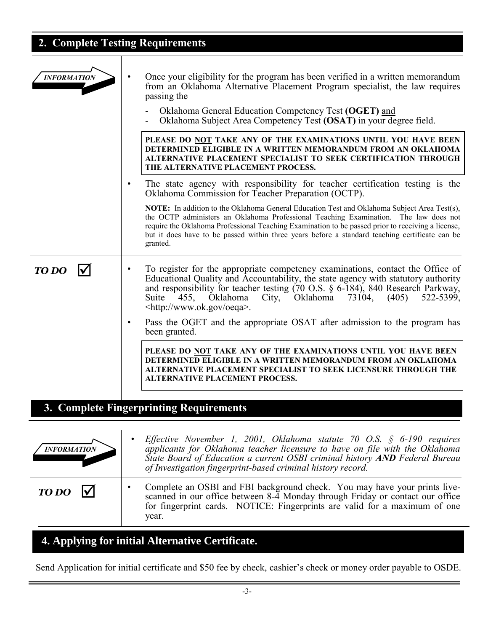# **2. Complete Testing Requirements**

| <b>INFORMATION</b> | Once your eligibility for the program has been verified in a written memorandum<br>from an Oklahoma Alternative Placement Program specialist, the law requires<br>passing the<br>Oklahoma General Education Competency Test (OGET) and<br>Oklahoma Subject Area Competency Test (OSAT) in your degree field.                                                                                           |
|--------------------|--------------------------------------------------------------------------------------------------------------------------------------------------------------------------------------------------------------------------------------------------------------------------------------------------------------------------------------------------------------------------------------------------------|
|                    | PLEASE DO NOT TAKE ANY OF THE EXAMINATIONS UNTIL YOU HAVE BEEN<br>DETERMINED ELIGIBLE IN A WRITTEN MEMORANDUM FROM AN OKLAHOMA<br>ALTERNATIVE PLACEMENT SPECIALIST TO SEEK CERTIFICATION THROUGH<br>THE ALTERNATIVE PLACEMENT PROCESS.                                                                                                                                                                 |
|                    | The state agency with responsibility for teacher certification testing is the<br>Oklahoma Commission for Teacher Preparation (OCTP).                                                                                                                                                                                                                                                                   |
|                    | NOTE: In addition to the Oklahoma General Education Test and Oklahoma Subject Area Test(s),<br>the OCTP administers an Oklahoma Professional Teaching Examination. The law does not<br>require the Oklahoma Professional Teaching Examination to be passed prior to receiving a license,<br>but it does have to be passed within three years before a standard teaching certificate can be<br>granted. |
| TO DO              | To register for the appropriate competency examinations, contact the Office of<br>Educational Quality and Accountability, the state agency with statutory authority<br>and responsibility for teacher testing (70 O.S. § 6-184), 840 Research Parkway, Suite 455, Oklahoma City, Oklahoma 73104, (405) 522-5399,<br><http: oeqa="" www.ok.gov="">.</http:>                                             |
|                    | Pass the OGET and the appropriate OSAT after admission to the program has<br>been granted.                                                                                                                                                                                                                                                                                                             |
|                    | PLEASE DO NOT TAKE ANY OF THE EXAMINATIONS UNTIL YOU HAVE BEEN<br>DETERMINED ELIGIBLE IN A WRITTEN MEMORANDUM FROM AN OKLAHOMA<br>ALTERNATIVE PLACEMENT SPECIALIST TO SEEK LICENSURE THROUGH THE<br>ALTERNATIVE PLACEMENT PROCESS.                                                                                                                                                                     |
|                    | 3. Complete Fingerprinting Requirements                                                                                                                                                                                                                                                                                                                                                                |
|                    |                                                                                                                                                                                                                                                                                                                                                                                                        |
|                    | Effective November 1, 2001, Oklahoma statute 70 O.S. $\S$ 6-190 requires<br>$\overline{1}$ 1. $\overline{1}$ 1. $\overline{1}$ 1. $\overline{1}$ 1.                                                                                                                                                                                                                                                    |

| <b>INFORMATION</b> | L<br>applicants for Oklahoma teacher licensure to have on file with the Oklahoma<br>State Board of Education a current OSBI criminal history AND Federal Bureau<br>of Investigation fingerprint-based criminal history record.                    |
|--------------------|---------------------------------------------------------------------------------------------------------------------------------------------------------------------------------------------------------------------------------------------------|
| $TODO \nabla$      | Complete an OSBI and FBI background check. You may have your prints live-<br>scanned in our office between 8-4 Monday through Friday or contact our office<br>for fingerprint cards. NOTICE: Fingerprints are valid for a maximum of one<br>vear. |

# **4. Applying for initial Alternative Certificate.**

 $\overline{\phantom{0}}$ 

Send Application for initial certificate and \$50 fee by check, cashier's check or money order payable to OSDE.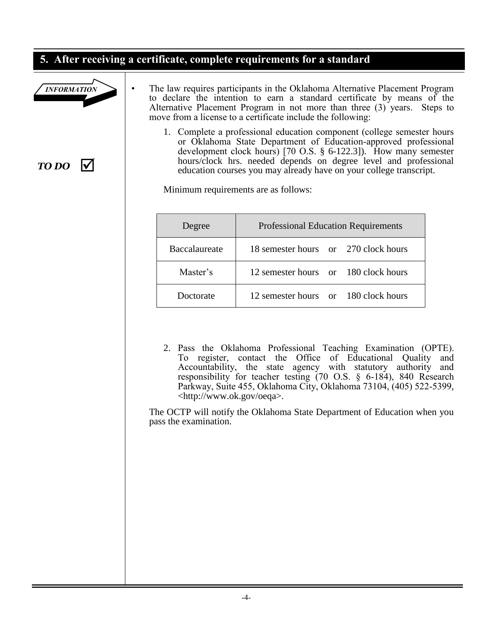### **5. After receiving a certificate, complete requirements for a standard**



*TO DO*

- The law requires participants in the Oklahoma Alternative Placement Program to declare the intention to earn a standard certificate by means of the Alternative Placement Program in not more than three (3) years. Steps to move from a license to a certificate include the following:
	- 1. Complete a professional education component (college semester hours or Oklahoma State Department of Education-approved professional development clock hours) [70 O.S. § 6-122.3]). How many semester hours/clock hrs. needed depends on degree level and professional education courses you may already have on your college transcript.

Minimum requirements are as follows:

| Degree        | <b>Professional Education Requirements</b> |  |  |
|---------------|--------------------------------------------|--|--|
| Baccalaureate | 18 semester hours or 270 clock hours       |  |  |
| Master's      | 12 semester hours or 180 clock hours       |  |  |
| Doctorate     | 12 semester hours or 180 clock hours       |  |  |

2. Pass the Oklahoma Professional Teaching Examination (OPTE). To register, contact the Office of Educational Quality and Accountability, the state agency with statutory authority and responsibility for teacher testing (70 O.S. § 6-184), 840 Research Parkway, Suite 455, Oklahoma City, Oklahoma 73104, (405) 522-5399, <http://www.ok.gov/oeqa>.

The OCTP will notify the Oklahoma State Department of Education when you pass the examination.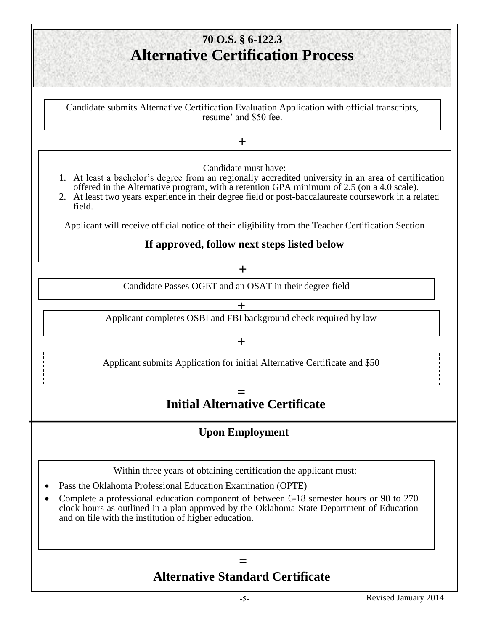## **5. Alternative Certification Process 70 O.S. § 6-122.3**

Candidate submits Alternative Certification Evaluation Application with official transcripts, resume' and \$50 fee.

**+**

Candidate must have:

- 1. At least a bachelor's degree from an regionally accredited university in an area of certification offered in the Alternative program, with a retention GPA minimum of 2.5 (on a 4.0 scale).
- 2. At least two years experience in their degree field or post-baccalaureate coursework in a related field.

Applicant will receive official notice of their eligibility from the Teacher Certification Section

### **If approved, follow next steps listed below**

**+**

Candidate Passes OGET and an OSAT in their degree field

**+**

Applicant completes OSBI and FBI background check required by law

**+**

Applicant submits Application for initial Alternative Certificate and \$50

### **= Initial Alternative Certificate**

### **Upon Employment**

Within three years of obtaining certification the applicant must:

- Pass the Oklahoma Professional Education Examination (OPTE)
- Complete a professional education component of between 6-18 semester hours or 90 to 270 clock hours as outlined in a plan approved by the Oklahoma State Department of Education and on file with the institution of higher education.

## **= Alternative Standard Certificate**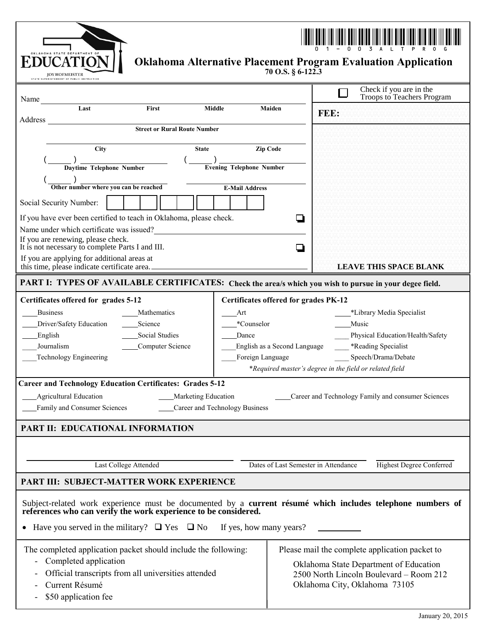| <b>DUCATIO</b><br><b>Oklahoma Alternative Placement Program Evaluation Application</b><br>70 O.S. § 6-122.3<br><b>JOY HOFMEISTER</b><br>PERINTENDENT OF PUBLIC INSTRUCTION                                                                                                                                                                                                                                                                                                                                                 |                                                                                                                                                                      |                                                       |  |  |
|----------------------------------------------------------------------------------------------------------------------------------------------------------------------------------------------------------------------------------------------------------------------------------------------------------------------------------------------------------------------------------------------------------------------------------------------------------------------------------------------------------------------------|----------------------------------------------------------------------------------------------------------------------------------------------------------------------|-------------------------------------------------------|--|--|
| Name                                                                                                                                                                                                                                                                                                                                                                                                                                                                                                                       |                                                                                                                                                                      | Check if you are in the<br>Troops to Teachers Program |  |  |
| Last<br>First<br><b>Middle</b><br>Address                                                                                                                                                                                                                                                                                                                                                                                                                                                                                  | Maiden                                                                                                                                                               | FEE:                                                  |  |  |
| <b>Street or Rural Route Number</b>                                                                                                                                                                                                                                                                                                                                                                                                                                                                                        |                                                                                                                                                                      |                                                       |  |  |
| City<br><b>State</b>                                                                                                                                                                                                                                                                                                                                                                                                                                                                                                       | Zip Code                                                                                                                                                             |                                                       |  |  |
| Daytime Telephone Number                                                                                                                                                                                                                                                                                                                                                                                                                                                                                                   | <b>Evening Telephone Number</b>                                                                                                                                      |                                                       |  |  |
| Other number where you can be reached                                                                                                                                                                                                                                                                                                                                                                                                                                                                                      | <b>E-Mail Address</b>                                                                                                                                                |                                                       |  |  |
| Social Security Number:                                                                                                                                                                                                                                                                                                                                                                                                                                                                                                    |                                                                                                                                                                      |                                                       |  |  |
| If you have ever been certified to teach in Oklahoma, please check.                                                                                                                                                                                                                                                                                                                                                                                                                                                        |                                                                                                                                                                      | D                                                     |  |  |
| Name under which certificate was issued?<br>If you are renewing, please check.<br>It is not necessary to complete Parts I and III.                                                                                                                                                                                                                                                                                                                                                                                         |                                                                                                                                                                      | ◻                                                     |  |  |
| If you are applying for additional areas at<br>this time, please indicate certificate area.                                                                                                                                                                                                                                                                                                                                                                                                                                |                                                                                                                                                                      | <b>LEAVE THIS SPACE BLANK</b>                         |  |  |
| PART I: TYPES OF AVAILABLE CERTIFICATES: Check the area/s which you wish to pursue in your degee field.                                                                                                                                                                                                                                                                                                                                                                                                                    |                                                                                                                                                                      |                                                       |  |  |
| Certificates offered for grades 5-12<br><b>Certificates offered for grades PK-12</b><br><b>Business</b><br>*Library Media Specialist<br>Mathematics<br>Art<br>Driver/Safety Education<br>Science<br>*Counselor<br>Music<br>Social Studies<br>English<br>Dance<br>Physical Education/Health/Safety<br>*Reading Specialist<br>Journalism<br>Computer Science<br>English as a Second Language<br>Technology Engineering<br>Foreign Language<br>Speech/Drama/Debate<br>*Required master's degree in the field or related field |                                                                                                                                                                      |                                                       |  |  |
| <b>Career and Technology Education Certificates: Grades 5-12</b>                                                                                                                                                                                                                                                                                                                                                                                                                                                           |                                                                                                                                                                      |                                                       |  |  |
| Career and Technology Family and consumer Sciences<br><b>Agricultural Education</b><br>Marketing Education<br><b>Career and Technology Business</b><br>Family and Consumer Sciences                                                                                                                                                                                                                                                                                                                                        |                                                                                                                                                                      |                                                       |  |  |
| <b>PART II: EDUCATIONAL INFORMATION</b>                                                                                                                                                                                                                                                                                                                                                                                                                                                                                    |                                                                                                                                                                      |                                                       |  |  |
|                                                                                                                                                                                                                                                                                                                                                                                                                                                                                                                            |                                                                                                                                                                      |                                                       |  |  |
| Last College Attended<br>Dates of Last Semester in Attendance<br><b>Highest Degree Conferred</b>                                                                                                                                                                                                                                                                                                                                                                                                                           |                                                                                                                                                                      |                                                       |  |  |
| <b>PART III: SUBJECT-MATTER WORK EXPERIENCE</b>                                                                                                                                                                                                                                                                                                                                                                                                                                                                            |                                                                                                                                                                      |                                                       |  |  |
| Subject-related work experience must be documented by a current résumé which includes telephone numbers of<br>references who can verify the work experience to be considered.                                                                                                                                                                                                                                                                                                                                              |                                                                                                                                                                      |                                                       |  |  |
| Have you served in the military? $\Box$ Yes $\Box$ No<br>If yes, how many years?                                                                                                                                                                                                                                                                                                                                                                                                                                           |                                                                                                                                                                      |                                                       |  |  |
| The completed application packet should include the following:<br>Completed application<br>Official transcripts from all universities attended<br>Current Résumé<br>\$50 application fee                                                                                                                                                                                                                                                                                                                                   | Please mail the complete application packet to<br>Oklahoma State Department of Education<br>2500 North Lincoln Boulevard - Room 212<br>Oklahoma City, Oklahoma 73105 |                                                       |  |  |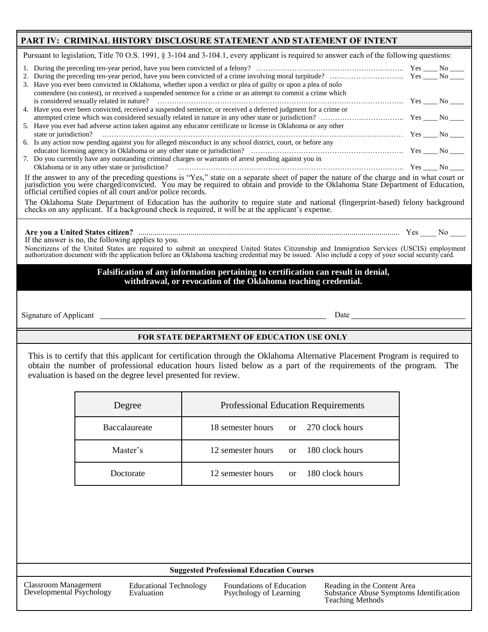#### PART IV: CRIMINAL HISTORY DISCLOSURE STATEMENT AND STATEMENT OF INTENT

Pursuant to legislation, Title 70 O.S. 1991, § 3-104 and 3-104.1, every applicant is required to answer each of the following questions:

| 3. Have you ever been convicted in Oklahoma, whether upon a verdict or plea of guilty or upon a plea of nolo<br>contendere (no contest), or received a suspended sentence for a crime or an attempt to commit a crime which |  |  |  |  |
|-----------------------------------------------------------------------------------------------------------------------------------------------------------------------------------------------------------------------------|--|--|--|--|
|                                                                                                                                                                                                                             |  |  |  |  |
| 4. Have you ever been convicted, received a suspended sentence, or received a deferred judgment for a crime or                                                                                                              |  |  |  |  |
|                                                                                                                                                                                                                             |  |  |  |  |
| 5. Have you ever had adverse action taken against any educator certificate or license in Oklahoma or any other                                                                                                              |  |  |  |  |
|                                                                                                                                                                                                                             |  |  |  |  |
| 6. Is any action now pending against you for alleged misconduct in any school district, court, or before any                                                                                                                |  |  |  |  |
|                                                                                                                                                                                                                             |  |  |  |  |
| 7. Do you currently have any outstanding criminal charges or warrants of arrest pending against you in                                                                                                                      |  |  |  |  |
|                                                                                                                                                                                                                             |  |  |  |  |
| If the answer to any of the preceding questions is "Yes," state on a separate sheet of paper the nature of the charge and in what court or                                                                                  |  |  |  |  |

jurisdiction you were charged/convicted. You may be required to obtain and provide to the Oklahoma State Department of Education, official certified copies of all court and/or police records.

The Oklahoma State Department of Education has the authority to require state and national (fingerprint-based) felony background checks on any applicant. If a background check is required, it will be at the applicant's expense.

#### **Are you a United States citizen?** .................................................................................................................................. Yes \_\_\_\_ No \_\_\_\_

If the answer is no, the following applies to you.

Noncitizens of the United States are required to submit an unexpired United States Citizenship and Immigration Services (USCIS) employment<br>authorization document with the application before an Oklahoma teaching credential

#### **Falsification of any information pertaining to certification can result in denial, withdrawal, or revocation of the Oklahoma teaching credential.**

Signature of Applicant <u>Date</u>

#### **FOR STATE DEPARTMENT OF EDUCATION USE ONLY**

This is to certify that this applicant for certification through the Oklahoma Alternative Placement Program is required to obtain the number of professional education hours listed below as a part of the requirements of the program. The evaluation is based on the degree level presented for review.

| Degree        | <b>Professional Education Requirements</b> |  |  |
|---------------|--------------------------------------------|--|--|
| Baccalaureate | 18 semester hours or 270 clock hours       |  |  |
| Master's      | 12 semester hours or 180 clock hours       |  |  |
| Doctorate     | 12 semester hours or 180 clock hours       |  |  |

#### **Suggested Professional Education Courses**

Classroom Management Developmental Psychology Educational Technology Evaluation

Foundations of Education Psychology of Learning

Reading in the Content Area Substance Abuse Symptoms Identification Teaching Methods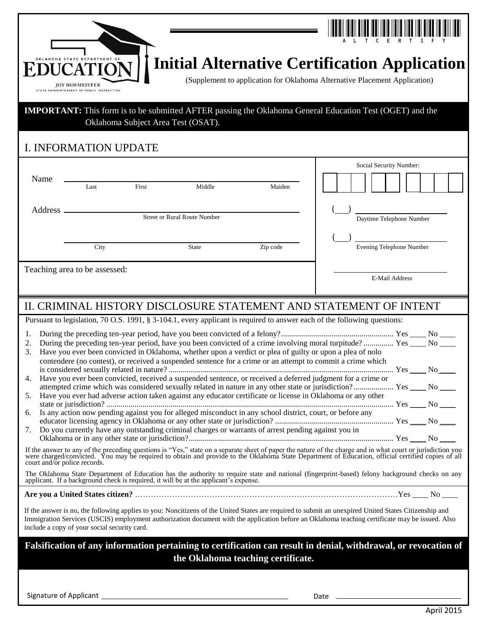|                                              | <b>JOY HOFMEISTER</b><br>STATE SUPERINTENDENT OF PUBLIC INSTRUCTION |                                    |                                     |                                                                                                                                                                                                                  | <b>Initial Alternative Certification Application</b><br>(Supplement to application for Oklahoma Alternative Placement Application)                                                                                                                                                                                                                                                                                                                                                                                                                                                                                                                                                                                                                                                                                                   |
|----------------------------------------------|---------------------------------------------------------------------|------------------------------------|-------------------------------------|------------------------------------------------------------------------------------------------------------------------------------------------------------------------------------------------------------------|--------------------------------------------------------------------------------------------------------------------------------------------------------------------------------------------------------------------------------------------------------------------------------------------------------------------------------------------------------------------------------------------------------------------------------------------------------------------------------------------------------------------------------------------------------------------------------------------------------------------------------------------------------------------------------------------------------------------------------------------------------------------------------------------------------------------------------------|
|                                              |                                                                     | Oklahoma Subject Area Test (OSAT). |                                     |                                                                                                                                                                                                                  | <b>IMPORTANT:</b> This form is to be submitted AFTER passing the Oklahoma General Education Test (OGET) and the                                                                                                                                                                                                                                                                                                                                                                                                                                                                                                                                                                                                                                                                                                                      |
|                                              | <b>I. INFORMATION UPDATE</b>                                        |                                    |                                     |                                                                                                                                                                                                                  |                                                                                                                                                                                                                                                                                                                                                                                                                                                                                                                                                                                                                                                                                                                                                                                                                                      |
| Name                                         | Last                                                                | First                              | Middle                              | Maiden                                                                                                                                                                                                           | Social Security Number:                                                                                                                                                                                                                                                                                                                                                                                                                                                                                                                                                                                                                                                                                                                                                                                                              |
| Address.                                     |                                                                     |                                    | <b>Street or Rural Route Number</b> |                                                                                                                                                                                                                  | Daytime Telephone Number                                                                                                                                                                                                                                                                                                                                                                                                                                                                                                                                                                                                                                                                                                                                                                                                             |
|                                              | City                                                                |                                    | State                               | Zip code                                                                                                                                                                                                         | Evening Telephone Number                                                                                                                                                                                                                                                                                                                                                                                                                                                                                                                                                                                                                                                                                                                                                                                                             |
| Teaching area to be assessed:                |                                                                     |                                    |                                     |                                                                                                                                                                                                                  | E-Mail Address                                                                                                                                                                                                                                                                                                                                                                                                                                                                                                                                                                                                                                                                                                                                                                                                                       |
|                                              |                                                                     |                                    |                                     |                                                                                                                                                                                                                  | II. CRIMINAL HISTORY DISCLOSURE STATEMENT AND STATEMENT OF INTENT                                                                                                                                                                                                                                                                                                                                                                                                                                                                                                                                                                                                                                                                                                                                                                    |
| 1.<br>2.<br>3.<br>4.<br>5.<br>6.<br>7.       |                                                                     |                                    |                                     | Is any action now pending against you for alleged misconduct in any school district, court, or before any<br>Do you currently have any outstanding criminal charges or warrants of arrest pending against you in | Pursuant to legislation, 70 O.S. 1991, § 3-104.1, every applicant is required to answer each of the following questions:<br>During the preceding ten-year period, have you been convicted of a crime involving moral turpitude? Yes _____ No _____<br>Have you ever been convicted in Oklahoma, whether upon a verdict or plea of guilty or upon a plea of nolo<br>contendere (no contest), or received a suspended sentence for a crime or an attempt to commit a crime which<br>Have you ever been convicted, received a suspended sentence, or received a deferred judgment for a crime or<br>attempted crime which was considered sexually related in nature in any other state or jurisdiction? Yes ____ No ____<br>Have you ever had adverse action taken against any educator certificate or license in Oklahoma or any other |
|                                              |                                                                     |                                    |                                     |                                                                                                                                                                                                                  | If the answer to any of the preceding questions is "Yes," state on a separate sheet of paper the nature of the charge and in what court or jurisdiction you were charged/convicted. You may be required to obtain and provide                                                                                                                                                                                                                                                                                                                                                                                                                                                                                                                                                                                                        |
| court and/or police records.                 |                                                                     |                                    |                                     |                                                                                                                                                                                                                  | The Oklahoma State Department of Education has the authority to require state and national (fingerprint-based) felony background checks on any applicant. If a background check is required, it will be at the applicant's exp                                                                                                                                                                                                                                                                                                                                                                                                                                                                                                                                                                                                       |
| include a copy of your social security card. |                                                                     |                                    |                                     |                                                                                                                                                                                                                  | If the answer is no, the following applies to you: Noncitizens of the United States are required to submit an unexpired United States Citizenship and<br>Immigration Services (USCIS) employment authorization document with the application before an Oklahoma teaching certificate may be issued. Also                                                                                                                                                                                                                                                                                                                                                                                                                                                                                                                             |
|                                              |                                                                     |                                    |                                     | the Oklahoma teaching certificate.                                                                                                                                                                               | Falsification of any information pertaining to certification can result in denial, withdrawal, or revocation of                                                                                                                                                                                                                                                                                                                                                                                                                                                                                                                                                                                                                                                                                                                      |

Signature of Applicant Date